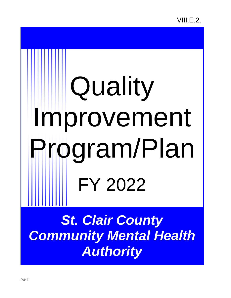# **Quality** Improvement Program/Plan FY 2022

**St. Clair County** *Community Mental Health Authority*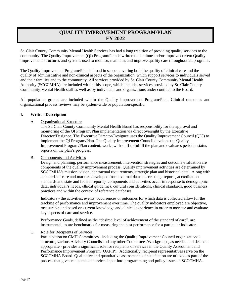## **QUALITY IMPROVEMENT PROGRAM/PLAN FY 2022**

St. Clair County Community Mental Health Services has had a long tradition of providing quality services to the community. The Quality Improvement (QI) Program/Plan is written to continue and/or improve current Quality Improvement structures and systems used to monitor, maintain, and improve quality care throughout all programs.

The Quality Improvement Program/Plan is broad in scope, covering both the quality of clinical care and the quality of administrative and non-clinical aspects of the organization, which support services to individuals served and their families and to the community. All services provided by St. Clair County Community Mental Health Authority (SCCCMHA) are included within this scope, which includes services provided by St. Clair County Community Mental Health staff as well as by individuals and organizations under contract to the Board.

All population groups are included within the Quality Improvement Program/Plan. Clinical outcomes and organizational process reviews may be system-wide or population-specific.

### **I. Written Description**

### A. Organizational Structure

The St. Clair County Community Mental Health Board has responsibility for the approval and monitoring of the QI Program/Plan implementation via direct oversight by the Executive Director/Designee. The Executive Director/Designee uses the Quality Improvement Council (QIC) to implement the QI Program/Plan. The Quality Improvement Council develops the Quality Improvement Program/Plan content, works with staff to fulfill the plan and evaluates periodic status reports on the plan's progress.

### B. Components and Activities

Design and planning, performance measurement, intervention strategies and outcome evaluation are components of the quality improvement process. Quality improvement activities are determined by SCCCMHA's mission, vision, contractual requirements, strategic plan and historical data. Along with standards of care and markers developed from external data sources (e.g., reports, accreditation standards and state and federal reports), components and activities occur in response to demographic data, individual's needs, ethical guidelines, cultural considerations, clinical standards, good business practices and within the context of reference databases.

Indicators - the activities, events, occurrences or outcomes for which data is collected allow for the tracking of performance and improvement over time. The quality indicators employed are objective, measurable and based on current knowledge and clinical experience in order to monitor and evaluate key aspects of care and service.

Performance Goals, defined as the "desired level of achievement of the standard of care", are instrumental, as are benchmarks for measuring the best performance for a particular indicator.

### C. Role for Recipients of Services

Participation on CMH Committees - including the Quality Improvement Council organizational structure, various Advisory Councils and any other Committees/Workgroups, as needed and deemed appropriate - provides a significant role for recipients of services in the Quality Assessment and Performance Improvement Program (QAPIP). Additionally, recipient representatives serve on the SCCCMHA Board. Qualitative and quantitative assessments of satisfaction are utilized as part of the process that gives recipients of services input into programming and policy issues in SCCCMHA.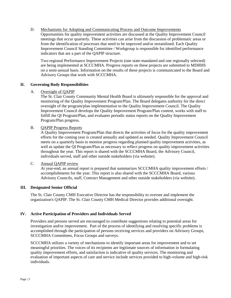D. Mechanisms for Adopting and Communicating Process and Outcome Improvements Opportunities for quality improvement activities are discussed at the Quality Improvement Council meetings that occur quarterly. These activities can arise from the discussion of problematic areas or from the identification of processes that need to be improved and/or streamlined. Each Quality Improvement Council Standing Committee / Workgroup is responsible for identified performance indicators that are a part of the QAPIP structure.

Two regional Performance Improvement Projects (one state-mandated and one regionally selected) are being implemented at SCCCMHA. Progress reports on these projects are submitted to MDHHS on a semi-annual basis. Information on the results of these projects is communicated to the Board and Advisory Groups that work with SCCCMHA.

### **II. Governing Body Responsibilities**

### A. Oversight of QAPIP

The St. Clair County Community Mental Health Board is ultimately responsible for the approval and monitoring of the Quality Improvement Program/Plan. The Board delegates authority for the direct oversight of the program/plan implementation to the Quality Improvement Council. The Quality Improvement Council develops the Quality Improvement Program/Plan content, works with staff to fulfill the QI Program/Plan, and evaluates periodic status reports on the Quality Improvement Program/Plan progress.

### B. QAPIP Progress Reports

A Quality Improvement Program/Plan that directs the activities of focus for the quality improvement efforts for the coming year is created annually and updated as needed. Quality Improvement Council meets on a quarterly basis to monitor progress regarding planned quality improvement activities, as well as update the QI Program/Plan as necessary to reflect progress on quality improvement activities throughout the year. This report is shared with the SCCCMHA Board, the Advisory Council, individuals served, staff and other outside stakeholders (via website).

### C. Annual QAPIP review

At year-end, an annual report is prepared that summarizes SCCCMHA quality improvement efforts / accomplishments for the year. This report is also shared with the SCCCMHA Board, various Advisory Councils, staff, Contract Management and other outside stakeholders (via website).

### **III. Designated Senior Official**

The St. Clair County CMH Executive Director has the responsibility to oversee and implement the organization's QAPIP. The St. Clair County CMH Medical Director provides additional oversight.

### **IV. Active Participation of Providers and Individuals Served**

Providers and persons served are encouraged to contribute suggestions relating to potential areas for investigation and/or improvement. Part of the process of identifying and resolving specific problems is accomplished through the participation of persons receiving services and providers on Advisory Groups, SCCCMHA Committees, Focus Groups and surveys.

SCCCMHA utilizes a variety of mechanisms to identify important areas for improvement and to set meaningful priorities. The voices of its recipients are legitimate sources of information in formulating quality improvement efforts, and satisfaction is indicative of quality services. The monitoring and evaluation of important aspects of care and service include services provided to high-volume and high-risk individuals.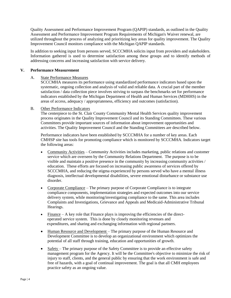Quality Assessment and Performance Improvement Program (QAPIP) standards, as outlined in the Quality Assessment and Performance Improvement Program Requirements of Michigan's Waiver renewal, are utilized throughout the process of analyzing and prioritizing key areas for quality improvement. The Quality Improvement Council monitors compliance with the Michigan QAPIP standards.

In addition to seeking input from persons served, SCCCMHA solicits input from providers and stakeholders. Information gathered is used to determine satisfaction among these groups and to identify methods of addressing concerns and increasing satisfaction with service delivery.

### **V. Performance Measurement**

### A. State Performance Measures

SCCCMHA measures its performance using standardized performance indicators based upon the systematic, ongoing collection and analysis of valid and reliable data. A crucial part of the member satisfaction / data collection piece involves striving to surpass the benchmarks set for performance indicators established by the Michigan Department of Health and Human Services (MDHHS) in the areas of access, adequacy / appropriateness, efficiency and outcomes (satisfaction).

### B. Other Performance Indicators

The centerpiece to the St. Clair County Community Mental Health Services quality improvement process originates in the Quality Improvement Council and its Standing Committees. These various Committees provide important sources of information about improvement opportunities and activities. The Quality Improvement Council and the Standing Committees are described below.

Performance indicators have been established by SCCCMHA for a number of key areas. Each CMHSP site has tools for promoting compliance which is monitored by SCCCMHA. Indicators target the following areas:

- Community Activities Community Activities includes marketing, public relations and customer service which are overseen by the Community Relations Department. The purpose is to be visible and maintain a positive presence in the community by increasing community activities / education. These efforts are focused on increasing public awareness of services offered by SCCCMHA, and reducing the stigma experienced by persons served who have a mental illness diagnosis, intellectual developmental disabilities, severe emotional disturbance or substance use disorder.
- Corporate Compliance The primary purpose of Corporate Compliance is to integrate compliance components, implementation strategies and expected outcomes into our service delivery system, while monitoring/investigating compliance to the same. This area includes Complaints and Investigations, Grievance and Appeals and Medicaid-Administrative Tribunal Hearings.
- $\bullet$  Finance A key role that Finance plays is improving the efficiencies of the direct operated service system. This is done by closely monitoring revenues and expenditures, and sharing and exchanging information with regional partners.
- Human Resource and Development The primary purpose of the Human Resource and Development Committee is to develop an organizational environment which optimizes the potential of all staff through training, education and opportunities of growth.
- Safety The primary purpose of the Safety Committee is to provide an effective safety management program for the Agency. It will be the Committee's objective to minimize the risk of injury to staff, clients, and the general public by ensuring that the work environment is safe and free of hazards, with a goal of continual improvement. The goal is that all CMH employees practice safety as an ongoing value.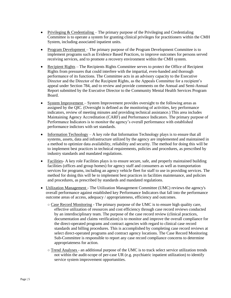- Privileging  $& Credentialing The primary purpose of the Privileging and Credentialing$ Committee is to operate a system for granting clinical privileges for practitioners within the CMH System, including associated inpatient units.
- Program Development The primary purpose of the Program Development Committee is to implement programs such as Evidence Based Practices, to improve outcomes for persons served receiving services, and to promote a recovery environment within the CMH system.
- Recipient Rights The Recipients Rights Committee serves to protect the Office of Recipient Rights from pressures that could interfere with the impartial, even-handed and thorough performance of its functions. The Committee acts in an advisory capacity to the Executive Director and the Director of the Recipient Rights, as the Appeals Committee for a recipient's appeal under Section 784, and to review and provide comments on the Annual and Semi-Annual Report submitted by the Executive Director to the Community Mental Health Services Program Board.
- System Improvement System Improvement provides oversight to the following areas as assigned by the QIC. (Oversight is defined as the monitoring of activities, key performance indicators, review of meeting minutes and providing technical assistance.) This area includes Maintaining Agency Accreditation (CARF) and Performance Indicators. The primary purpose of Performance Indicators is to monitor the agency's overall performance with established performance indictors with set standards.
- Information Technology A key role that Information Technology plays is to ensure that all systems, assets, data and infrastructure utilized by the agency are implemented and maintained in a method to optimize data availability, reliability and security. The method for doing this will be to implement best practices in technical requirements, policies and procedures, as prescribed by industry standards and mandated regulations.
- Facilities- A key role Facilities plays is to ensure secure, safe, and properly maintained building facilities (offices and group homes) for agency staff and consumers as well as transportation services for programs, including an agency vehicle fleet for staff to use in providing services. The method for doing this will be to implement best practices in facilities maintenance, and policies and procedures, as prescribed by standards and mandated regulations.
- Utilization Management The Utilization Management Committee (UMC) reviews the agency's overall performance against established key Performance Indicators that fall into the performance outcome areas of access, adequacy / appropriateness, efficiency and outcomes.
	- Case Record Monitoring The primary purpose of the UMC is to ensure high quality care, effective utilization of resources and cost efficiency through case record reviews conducted by an interdisciplinary team. The purpose of the case record review (clinical practices, documentation and claims verification) is to monitor and improve the overall compliance for the direct-operated programs and contract agencies with regard to clinical case record standards and billing procedures. This is accomplished by completing case record reviews at select direct-operated programs and contract agency locations. The Case Record Monitoring Sub-Committee is responsible to report any case record compliance concerns to determine appropriateness for action.
	- Trend Analyses an additional purpose of the UMC is to track select service utilization trends not within the audit-scope of per-case UR (e.g. psychiatric inpatient utilization) to identify service system improvement opportunities.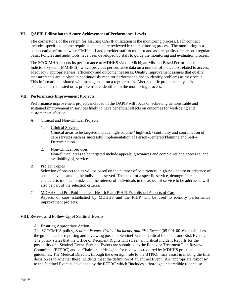### **VI. QAPIP Utilization to Assure Achievement of Performance Levels**

The cornerstone of the system for assuring QAPIP utilization is the monitoring process. Each contract includes specific outcome requirements that are reviewed in the monitoring process. The monitoring is a collaborative effort between CMH staff and provider staff to monitor and assure quality of care on a regular basis. Policies and audit tools have been developed by staff to guide the monitoring and evaluation process.

The SCCCMHA reports its performance to MDHHS via the Michigan Mission Based Performance Indictors System (MMBPIS), which provides performance data on a number of indicators related to access, adequacy / appropriateness, efficiency and outcome measures. Quality Improvement assures that quality measurements are in place to continuously monitor performance and to identify problems as they occur. This information is shared with management on a regular basis. Also, specific problem analysis is conducted as requested or as problems are identified in the monitoring process.

### **VII. Performance Improvement Projects**

Performance improvement projects included in the QAPIP will focus on achieving demonstrable and sustained improvement in services likely to have beneficial effects on outcomes for well-being and customer satisfaction.

### A. Clinical and Non-Clinical Projects

1. Clinical Services

Clinical areas to be targeted include high-volume / high-risk / continuity and coordination of care services such as successful implementation of Person-Centered Planning and Self-- Determination.

- 2. Non-Clinical Services Non-clinical areas to be targeted include appeals, grievances and complaints and access to, and availability of, services.
- B. Project Topics

Selection of project topics will be based on the number of occurrences, high-risk nature or presence of sentinel events among the individuals served. The need for a specific service, demographic characteristics, health risks and the interest of individuals in the aspect of service to be addressed will also be part of the selection criteria.

C. MDHHS and Pre-Paid Inpatient Health Plan (PIHP)-Established Aspects of Care Aspects of care established by MDHHS and the PIHP will be used to identify performance improvement projects.

### **VIII. Review and Follow-Up of Sentinel Events**

### A. Ensuring Appropriate Action

The SCCCMHA policy, *Sentinel Events, Critical Incidents, and Risk Event*s (05-001-0016), establishes the guidelines for reporting and reviewing possible Sentinel Events, Critical Incidents and Risk Events. The policy states that the Office of Recipient Rights will screen all Critical Incident Reports for the possibility of a Sentinel Event. Sentinel Events are submitted to the Behavior Treatment Plan Review Committee (BTPRC) and its Chairperson/designee for review, as required by MDHHS practice guidelines. The Medical Director, through the oversight role to the BTPRC, may assist in making the final decision as to whether these incidents meet the definition of a Sentinel Event. An "appropriate response" to the Sentinel Event is developed by the BTPRC which "includes a thorough and credible root cause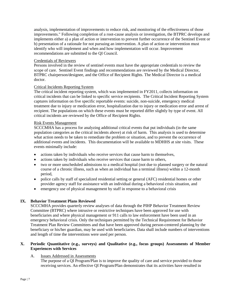analysis, implementation of improvements to reduce risk, and monitoring of the effectiveness of those improvements." Following completion of a root-cause analysis or investigation, the BTPRC develops and implements either a) a plan of action or intervention to prevent further occurrence of the Sentinel Event or b) presentation of a rationale for not pursuing an intervention. A plan of action or intervention must identify who will implement and when and how implementation will occur. Improvement recommendations are submitted to the QI Council.

### Credentials of Reviewers

Persons involved in the review of sentinel events must have the appropriate credentials to review the scope of care. Sentinel Event findings and recommendations are reviewed by the Medical Director, BTPRC chairperson/designee, and the Office of Recipient Rights. The Medical Director is a medical doctor.

### Critical Incidents Reporting System

The critical incident reporting system, which was implemented in FY2011, collects information on critical incidents that can be linked to specific service recipients. The Critical Incident Reporting System captures information on five specific reportable events: suicide, non-suicide, emergency medical treatment due to injury or medication error, hospitalization due to injury or medication error and arrest of recipient. The populations on which these events must be reported differ slightly by type of event. All critical incidents are reviewed by the Office of Recipient Rights.

### Risk Events Management

SCCCMHA has a process for analyzing additional critical events that put individuals (in the same population categories as the critical incidents above) at risk of harm. This analysis is used to determine what action needs to be taken to remediate the problem or situation, and to prevent the occurrence of additional events and incidents. This documentation will be available to MDHHS at site visits. These events minimally include:

- actions taken by individuals who receive services that cause harm to themselves,
- actions taken by individuals who receive services that cause harm to others,
- two or more unscheduled admissions to a medical hospital (not due to planned surgery or the natural course of a chronic illness, such as when an individual has a terminal illness) within a 12-month period,
- police calls by staff of specialized residential setting or general (AFC) residential homes or other provider agency staff for assistance with an individual during a behavioral crisis situation, and
- emergency use of physical management by staff in response to a behavioral crisis

### **IX. Behavior Treatment Plans Reviewed**

SCCCMHA provides quarterly review analyses of data through the PIHP Behavior Treatment Review Committee (BTPRC) where intrusive or restrictive techniques have been approved for use with beneficiaries and where physical management or 911 calls to law enforcement have been used in an emergency behavioral crisis. Only the techniques permitted by the Technical Requirement for Behavior Treatment Plan Review Committees and that have been approved during person-centered planning by the beneficiary or his/her guardian, may be used with beneficiaries. Data shall include numbers of interventions and length of time the interventions were used per person.

### **X. Periodic Quantitative (e.g., surveys) and Qualitative (e.g., focus groups) Assessments of Member Experiences with Services**

### A. Issues Addressed in Assessments

The purpose of a QI Program/Plan is to improve the quality of care and service provided to those receiving services. An effective QI Program/Plan demonstrates that its activities have resulted in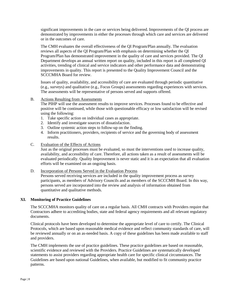significant improvements in the care or services being delivered. Improvements of the QI process are demonstrated by improvements in either the processes through which care and services are delivered or in the outcomes of care.

The CMH evaluates the overall effectiveness of the QI Program/Plan annually. The evaluation reviews all aspects of the QI Program/Plan with emphasis on determining whether the QI Program/Plan has demonstrated improvement in the quality of care and services provided. The QI Department develops an annual written report on quality, included in this report is all completed QI activities, trending of clinical and service indicators and other performance data and demonstrating improvements in quality. This report is presented to the Quality Improvement Council and the SCCCMHA Board for review.

Issues of quality, availability, and accessibility of care are evaluated through periodic quantitative (e.g., surveys) and qualitative (e.g., Focus Groups) assessments regarding experiences with services. The assessments will be representative of persons served and supports offered.

### B. Actions Resulting from Assessments

The PIHP will use the assessment results to improve services. Processes found to be effective and positive will be continued, while those with questionable efficacy or low satisfaction will be revised using the following:

- 1. Take specific action on individual cases as appropriate.
- 2. Identify and investigate sources of dissatisfaction.
- 3. Outline systemic action steps to follow-up on the finding.
- 4. Inform practitioners, providers, recipients of service and the governing body of assessment results.
- C. Evaluation of the Effects of Actions

Just as the original processes must be evaluated, so must the interventions used to increase quality, availability, and accessibility of care. Therefore, all actions taken as a result of assessments will be evaluated periodically. Quality Improvement is never static and it is an expectation that all evaluation efforts will be examined on an ongoing basis.

### D. Incorporation of Persons Served in the Evaluation Process

Persons served receiving services are included in the quality improvement process as survey participants, as members of Advisory Councils and as members of the SCCCMH Board. In this way, persons served are incorporated into the review and analysis of information obtained from quantitative and qualitative methods.

### **XI. Monitoring of Practice Guidelines**

The SCCCMHA monitors quality of care on a regular basis. All CMH contracts with Providers require that Contractors adhere to accrediting bodies, state and federal agency requirements and all relevant regulatory documents.

Clinical protocols have been developed to determine the appropriate level of care to certify. The Clinical Protocols, which are based upon reasonable medical evidence and reflect community standards of care, will be reviewed annually or on an as-needed basis. A copy of these guidelines has been made available to staff and providers.

The CMH implements the use of practice guidelines. These practice guidelines are based on reasonable, scientific evidence and reviewed with the Providers. Practice Guidelines are systematically developed statements to assist providers regarding appropriate health care for specific clinical circumstances. The Guidelines are based upon national Guidelines, when available, but modified to fit community practice patterns.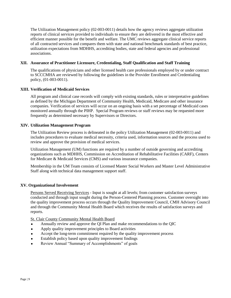The Utilization Management policy (02-003-0011) details how the agency reviews aggregate utilization reports of clinical services provided to individuals to ensure they are delivered in the most effective and efficient manner possible for the benefit and welfare. The UMC reviews aggregate clinical service reports of all contracted services and compares them with state and national benchmark standards of best practice, utilization expectations from MDHHS, accrediting bodies, state and federal agencies and professional associations.

### **XII. Assurance of Practitioner Licensure, Credentialing, Staff Qualification and Staff Training**

The qualifications of physicians and other licensed health care professionals employed by or under contract to SCCCMHA are reviewed by following the guidelines in the Provider Enrollment and Credentialing policy, (01-003-0011).

### **XIII. Verification of Medicaid Services**

All program and clinical case records will comply with existing standards, rules or interpretative guidelines as defined by the Michigan Department of Community Health, Medicaid, Medicare and other insurance companies. Verification of services will occur on an ongoing basis with a set percentage of Medicaid cases monitored annually through the PIHP. Special Program reviews or staff reviews may be requested more frequently as determined necessary by Supervisors or Directors.

### **XIV. Utilization Management Program**

The Utilization Review process is delineated in the policy Utilization Management (02-003-0011) and includes procedures to evaluate medical necessity, criteria used, information sources and the process used to review and approve the provision of medical services.

Utilization Management (UM) functions are required by a number of outside governing and accrediting organizations such as MDHHS, Commission on Accreditation of Rehabilitative Facilities (CARF), Centers for Medicare & Medicaid Services (CMS) and various insurance companies.

Membership in the UM Team consists of Licensed Master Social Workers and Master Level Administrative Staff along with technical data management support staff.

### **XV. Organizational Involvement**

Persons Served Receiving Services - Input is sought at all levels; from customer satisfaction surveys conducted and through input sought during the Person-Centered Planning process. Customer oversight into the quality improvement process occurs through the Quality Improvement Council, CMH Advisory Council and through the Community Mental Health Board which receives the results of satisfaction surveys and reports.

St. Clair County Community Mental Health Board

- *●* Annually review and approve the QI Plan and make recommendations to the QIC
- *●* Apply quality improvement principles to Board activities
- *●* Accept the long-term commitment required by the quality improvement process
- Establish policy based upon quality improvement findings
- Review Annual "Summary of Accomplishments" of goals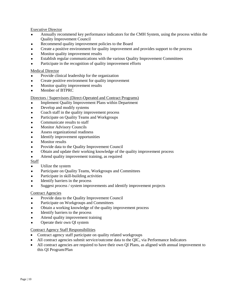Executive Director

- *●* Annually recommend key performance indicators for the CMH System, using the process within the Quality Improvement Council
- Recommend quality improvement policies to the Board
- *●* Create a positive environment for quality improvement and provides support to the process
- *●* Monitor quality improvement results
- **Establish regular communications with the various Quality Improvement Committees**
- Participate in the recognition of quality improvement efforts

### Medical Director

- Provide clinical leadership for the organization
- *●* Create positive environment for quality improvement
- *●* Monitor quality improvement results
- *●* Member of BTPRC

### Directors / Supervisors (Direct-Operated and Contract Programs)

- **Implement Quality Improvement Plans within Department**
- *●* Develop and modify systems
- Coach staff in the quality improvement process
- Participate on Quality Teams and Workgroups
- Communicate results to staff
- **Monitor Advisory Councils**
- *●* Assess organizational readiness
- *●* Identify improvement opportunities
- *●* Monitor results
- Provide data to the Quality Improvement Council
- Obtain and update their working knowledge of the quality improvement process
- Attend quality improvement training, as required

**Staff** 

- *●* Utilize the system
- Participate on Quality Teams, Workgroups and Committees
- Participate in skill-building activities
- Identify barriers in the process
- Suggest process / system improvements and identify improvement projects

### Contract Agencies

- Provide data to the Quality Improvement Council
- Participate on Workgroups and Committees
- *●* Obtain a working knowledge of the quality improvement process
- **Identify barriers to the process**
- Attend quality improvement training
- *●* Operate their own QI system

### Contract Agency Staff Responsibilities

- Contract agency staff participate on quality related workgroups
- All contract agencies submit service/outcome data to the QIC, via Performance Indicators
- All contract agencies are required to have their own QI Plans, as aligned with annual improvement to this QI Program/Plan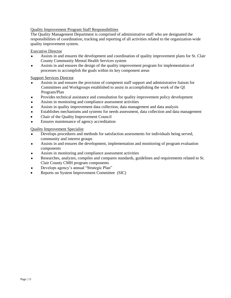### Quality Improvement Program Staff Responsibilities

The Quality Management Department is comprised of administrative staff who are designated the responsibilities of coordination, tracking and reporting of all activities related to the organization-wide quality improvement system.

### Executive Director

- Assists in and ensures the development and coordination of quality improvement plans for St. Clair County Community Mental Health Services system
- *●* Assists in and ensures the design of the quality improvement program for implementation of processes to accomplish the goals within its key component areas

### Support Services Director

- *●* Assists in and ensures the provision of competent staff support and administrative liaison for Committees and Workgroups established to assist in accomplishing the work of the QI Program/Plan
- *●* Provides technical assistance and consultation for quality improvement policy development
- *●* Assists in monitoring and compliance assessment activities
- Assists in quality improvement data collection, data management and data analysis
- Establishes mechanisms and systems for needs assessment, data collection and data management
- Chair of the Quality Improvement Council
- Ensures maintenance of agency accreditation

Quality Improvement Specialist

- Develops procedures and methods for satisfaction assessments for individuals being served, community and interest groups
- *●* Assists in and ensures the development, implementation and monitoring of program evaluation components
- Assists in monitoring and compliance assessment activities
- Researches, analyzes, compiles and compares standards, guidelines and requirements related to St. Clair County CMH program components
- Develops agency's annual "Strategic Plan"
- Reports on System Improvement Committee (SIC)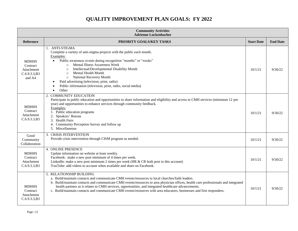# **QUALITY IMPROVEMENT PLAN GOALS: FY 2022**

| <b>Community Activities</b><br><b>Adrienne Luckenbacher</b>      |                                                                                                                                                                                                                                                                                                                                                                                                                                                                                                        |                   |                 |
|------------------------------------------------------------------|--------------------------------------------------------------------------------------------------------------------------------------------------------------------------------------------------------------------------------------------------------------------------------------------------------------------------------------------------------------------------------------------------------------------------------------------------------------------------------------------------------|-------------------|-----------------|
| <b>Reference</b>                                                 | PRIORITY GOALS/KEY TASKS                                                                                                                                                                                                                                                                                                                                                                                                                                                                               | <b>Start Date</b> | <b>End Date</b> |
| <b>MDHHS</b><br>Contract<br>Attachment<br>C.6.9.3.3,B3<br>and A4 | 1. ANTI-STIGMA<br>Complete a variety of anti-stigma projects with the public each month.<br>Examples:<br>Public awareness events during recognition "months" or "weeks"<br>$\bullet$<br>Mental Illness Awareness Week<br>$\circ$<br>Intellectual/Developmental Disability Month<br>$\circ$<br>Mental Health Month<br>$\circ$<br>National Recovery Month<br>$\circ$<br>Paid advertising (television, print, radio)<br>Public information (television, print, radio, social media)<br>Other<br>$\bullet$ | 10/1/21           | 9/30/22         |
| <b>MDHHS</b><br>Contract<br>Attachment<br>C.6.9.3.3,B3           | 2. COMMUNITY EDUCATION<br>Participate in public education and opportunities to share information and eligibility and access to CMH services (minimum 12 per<br>year) and opportunities to enhance services through community feedback.<br>Examples:<br>1. Public education programs<br>2. Speakers' Bureau<br>3. Health Fairs<br>4. Community Perception Survey and follow up<br>5. Miscellaneous                                                                                                      | 10/1/21           | 9/30/22         |
| Good<br>Community<br>Collaboration                               | 3. CRISIS INTERVENTION<br>Provide crisis intervention through CISM program as needed.                                                                                                                                                                                                                                                                                                                                                                                                                  | 10/1/21           | 9/30/22         |
| <b>MDHHS</b><br>Contract<br>Attachment<br>C.6.9.3.3,B3           | <b>4. ONLINE PRESENCE</b><br>Update information on website at least weekly.<br>Facebook: make a new post minimum of 4 times per week.<br>LinkedIn: make a new post minimum 2 times per week (HR $&$ CR both post to this account)<br>YouTube: add videos to account when available and share on Facebook.                                                                                                                                                                                              | 10/1/21           | 9/30/22         |
| <b>MDHHS</b><br>Contract<br>Attachment<br>C.6.9.3.3,B3           | 5. RELATIONSHIP BUILDING<br>a. Build/maintain contacts and communicate CMH events/resources to local churches/faith leaders.<br>b. Build/maintain contacts and communicate CMH events/resources to area physician offices, health care professionals and integrated<br>health partners as it relates to CMH services, opportunities, and integrated healthcare advancements.<br>c. Build/maintain contacts and communicate CMH events/resources with area educators, businesses and first responders.  | 10/1/21           | 9/30/22         |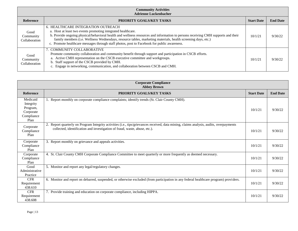| <b>Community Activities</b><br><b>Adrienne Luckenbacher</b> |                                                                                                                                                                                                                                                                                                                                                                                                                                                              |                   |                 |
|-------------------------------------------------------------|--------------------------------------------------------------------------------------------------------------------------------------------------------------------------------------------------------------------------------------------------------------------------------------------------------------------------------------------------------------------------------------------------------------------------------------------------------------|-------------------|-----------------|
| Reference                                                   | <b>PRIORITY GOALS/KEY TASKS</b>                                                                                                                                                                                                                                                                                                                                                                                                                              | <b>Start Date</b> | <b>End Date</b> |
| Good<br>Community<br>Collaboration                          | <b>6. HEALTHCARE INTEGRATION OUTREACH</b><br>a. Host at least two events promoting integrated healthcare.<br>b. Provide ongoing physical/behavioral health and wellness resources and information to persons receiving CMH supports and their<br>family members (i.e. Wellness Wednesdays, resource tables, marketing materials, health screening days, etc.)<br>c. Promote healthcare messages through staff photos, post to Facebook for public awareness. | 10/1/21           | 9/30/22         |
| Good<br>Community<br>Collaboration                          | 7. COMMUNITY COLLABORATIVE<br>Promote community collaboration and community benefit through support and participation in CSCB efforts.<br>a. Active CMH representation on the CSCB executive committee and workgroups.<br>b. Staff support of the CSCB provided by CMH.<br>c. Engage in networking, communication, and collaboration between CSCB and CMH.                                                                                                   | 10/1/21           | 9/30/22         |

| <b>Corporate Compliance</b><br><b>Abbey Brown</b>                    |                                                                                                                                                                                                                    |                   |                 |
|----------------------------------------------------------------------|--------------------------------------------------------------------------------------------------------------------------------------------------------------------------------------------------------------------|-------------------|-----------------|
| <b>Reference</b>                                                     | PRIORITY GOALS/KEY TASKS                                                                                                                                                                                           | <b>Start Date</b> | <b>End Date</b> |
| Medicaid<br>Integrity<br>Program,<br>Corporate<br>Compliance<br>Plan | 1. Report monthly on corporate compliance complaints; identify trends (St. Clair County CMH).                                                                                                                      | 10/1/21           | 9/30/22         |
| Corporate<br>Compliance<br>Plan                                      | Report quarterly on Program Integrity activities (i.e., tips/grievances received, data mining, claims analysis, audits, overpayments<br>collected, identification and investigation of fraud, waste, abuse, etc.). | 10/1/21           | 9/30/22         |
| Corporate<br>Compliance<br>Plan                                      | 3. Report monthly on grievance and appeals activities.                                                                                                                                                             | 10/1/21           | 9/30/22         |
| Corporate<br>Compliance<br>Plan                                      | 4. St. Clair County CMH Corporate Compliance Committee to meet quarterly or more frequently as deemed necessary.                                                                                                   | 10/1/21           | 9/30/22         |
| Good<br>Administrative<br>Practice                                   | 5. Monitor and report any legal/regulatory changes.                                                                                                                                                                | 10/1/21           | 9/30/22         |
| <b>CFR</b><br>Requirement<br>438.610                                 | 6. Monitor and report on debarred, suspended, or otherwise excluded (from participation in any federal healthcare program) providers.                                                                              | 10/1/21           | 9/30/22         |
| <b>CFR</b><br>Requirement<br>438.608                                 | 7. Provide training and education on corporate compliance, including HIPPA.                                                                                                                                        | 10/1/21           | 9/30/22         |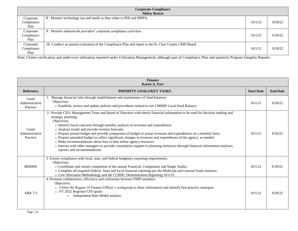|                                 | <b>Corporate Compliance</b><br><b>Abbey Brown</b>                                                     |         |         |  |
|---------------------------------|-------------------------------------------------------------------------------------------------------|---------|---------|--|
| Corporate<br>Compliance<br>Plan | 8. Monitor technology use and needs as they relate to PHI and HIPPA.                                  | 10/1/21 | 9/30/22 |  |
| Corporate<br>Compliance<br>Plan | 9. Monitor subnetwork providers' corporate compliance activities.                                     | 10/1/21 | 9/30/22 |  |
| Corporate<br>Compliance<br>Plan | 10. Conduct an annual evaluation of the Compliance Plan and report to the St. Clair County CMH Board. | 10/1/21 | 9/30/22 |  |

Note: Claims verification and under/over utilization reported under Utilization Management, although part of Compliance Plan and quarterly Program Integrity Reports.

| <b>Finance</b><br><b>Karen A. Farr</b> |                                                                                                                                                                                                                                                                                                                                                                                                                                                                                                                                                                                                                                                                                                                                                                                    |                   |                 |  |
|----------------------------------------|------------------------------------------------------------------------------------------------------------------------------------------------------------------------------------------------------------------------------------------------------------------------------------------------------------------------------------------------------------------------------------------------------------------------------------------------------------------------------------------------------------------------------------------------------------------------------------------------------------------------------------------------------------------------------------------------------------------------------------------------------------------------------------|-------------------|-----------------|--|
| <b>Reference</b>                       | <b>PRIORITY GOALS/KEY TASKS</b>                                                                                                                                                                                                                                                                                                                                                                                                                                                                                                                                                                                                                                                                                                                                                    | <b>Start Date</b> | <b>End Date</b> |  |
| Good<br>Administrative<br>Practice     | 1. Manage financial risks through establishment and maintenance of fund balances.<br>Objectives:<br>o Establish, review and update policies and procedures related to our CMHSP Local Fund Balance                                                                                                                                                                                                                                                                                                                                                                                                                                                                                                                                                                                 | 10/1/21           | 9/30/22         |  |
| Good<br>Administrative<br>Practice     | 2. Provide CEO, Management Team and Board of Directors with timely financial information to be used for decision making and<br>strategic planning.<br>Objectives:<br>o Identify fiscal concerns through monthly analysis of revenues and expenditures<br>o Analyze trends and provide revenue forecasts<br>o Prepare annual budget and provide comparison of budget to actual revenues and expenditures on a monthly basis<br>o Prepare amended budget to reflect significant changes in revenues and expenditures of the agency, as needed<br>o Make recommendations about how to best utilize agency resources<br>o Interact with other managers to provide consultative support to planning initiatives through financial information analyses,<br>reports, and recommendations | 10/1/21           | 9/30/22         |  |
| <b>MDHHS</b>                           | 3. Ensure compliance with local, state, and federal budgetary reporting requirements.<br>Objectives:<br>o Coordinate and ensure completion of the annual Financial, Compliance and Single Audits.<br>o Complete all required Federal, State and local financial reporting per the Medicaid and General Fund contracts.<br>o Cost Allocation Methodology and the CCBHC Demonstration beginning 10/1/21.                                                                                                                                                                                                                                                                                                                                                                             | 10/1/21           | 9/30/22         |  |
| ARR 7/3                                | 4. Promote collaboration, efficiency and uniformity between PIHP members.<br>Objectives:<br>o Utilize the Region 10 Finance Officer's workgroup to share information and identify best practice strategies.<br>o FY 2022 Regional CFO goals:<br>Independent Rate Model analysis<br>$\circ$                                                                                                                                                                                                                                                                                                                                                                                                                                                                                         | 10/1/21           | 9/30/22         |  |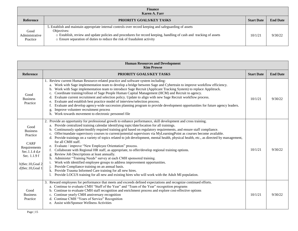| <b>Finance</b><br>Karen A. Farr    |                                                                                                                                                                                                                                                                                                                        |                   |                 |
|------------------------------------|------------------------------------------------------------------------------------------------------------------------------------------------------------------------------------------------------------------------------------------------------------------------------------------------------------------------|-------------------|-----------------|
| <b>Reference</b>                   | PRIORITY GOALS/KEY TASKS                                                                                                                                                                                                                                                                                               | <b>Start Date</b> | <b>End Date</b> |
| Good<br>Administrative<br>Practice | 5. Establish and maintain appropriate internal controls over record keeping and safeguarding of assets<br>Objectives:<br>o Establish, review and update policies and procedures for record keeping, handling of cash and tracking of assets<br>o Ensure separation of duties to reduce the risk of fraudulent activity | 10/1/21           | 9/30/22         |

| <b>Human Resources and Development</b><br><b>Kim Prowse</b>                                                                               |                                                                                                                                                                                                                                                                                                                                                                                                                                                                                                                                                                                                                                                                                                                                                                                                                                                                                                                                                                                                                                                                                                                                                                                                                                  |                   |                 |
|-------------------------------------------------------------------------------------------------------------------------------------------|----------------------------------------------------------------------------------------------------------------------------------------------------------------------------------------------------------------------------------------------------------------------------------------------------------------------------------------------------------------------------------------------------------------------------------------------------------------------------------------------------------------------------------------------------------------------------------------------------------------------------------------------------------------------------------------------------------------------------------------------------------------------------------------------------------------------------------------------------------------------------------------------------------------------------------------------------------------------------------------------------------------------------------------------------------------------------------------------------------------------------------------------------------------------------------------------------------------------------------|-------------------|-----------------|
| Reference                                                                                                                                 | PRIORITY GOALS/KEY TASKS                                                                                                                                                                                                                                                                                                                                                                                                                                                                                                                                                                                                                                                                                                                                                                                                                                                                                                                                                                                                                                                                                                                                                                                                         | <b>Start Date</b> | <b>End Date</b> |
| Good<br><b>Business</b><br>Practice                                                                                                       | 1. Review current Human Resource-related practice and software system including:<br>a. Work with Sage implementation team to develop a bridge between Sage and Cybertrain to improve workflow efficiency.<br>Work with Sage implementation team to introduce Sage Recruit (Applicant Tracking System) to replace Applitrack.<br>b.<br>Coordinate training/rollout of Sage People Human Capital Management (HCM) and Recruit to agency.<br>c.<br>d. Evaluate current recruitment and selection policy. Update to align with new Sage Recruit workflow process.<br>e. Evaluate and establish best practice model of interview/selection process.<br>Evaluate and develop agency-wide succession planning program to provide development opportunities for future agency leaders.<br>Improve volunteer recruitment process<br>g.<br>h. Work towards movement to electronic personnel file                                                                                                                                                                                                                                                                                                                                           | 10/1/21           | 9/30/22         |
| Good<br><b>Business</b><br>Practice<br><b>CARF</b><br>Requirements<br>Sec.1.1.4 d,e<br>Sec. 1.1.9 f<br>b)Sec.10,Goal 2<br>d)Sec.10,Goal 1 | 2. Provide an opportunity for professional growth to enhance performance, skill development and cross training.<br>a. Provide centralized training calendar identifying topic/date/location for all trainings.<br>Continuously update/modify required training grid based on regulatory requirements, and ensure staff compliance.<br>c. Offer/mandate supervisory courses to current/potential supervisors via MyLearningPoint as courses become available.<br>d. Provide trainings on a variety of topics related to job development, mental health, physical health, etc., as directed by management,<br>for all CMH staff.<br>e. Evaluate / improve "New Employee Orientation" process.<br>Collaborate with Regional HR staff, as appropriate, to offer/develop regional training options.<br>Review Job Descriptions at least annually.<br>g.<br>h. Administer "Training Needs" survey at each CMH sponsored training.<br>Work with identified employee groups to address improvement opportunities.<br>Provide Compliance training on an annual basis.<br>k. Provide Trauma Informed Care training for all new hires.<br>Provide LOCUS training for all new and existing hires who will work with the Adult MI population. | 10/1/21           | 9/30/22         |
| Good<br><b>Business</b><br>Practice                                                                                                       | 3. Reward employees for performance that meets and exceeds defined expectations and recognize continued efforts.<br>a. Continue to evaluate CMH "Staff of the Year" and "Team of the Year" recognition programs<br>b. Continue to evaluate CMH staff recognition and enrichment process and explore cost-effective options<br>c. Continue yearly CMH anniversary recognition<br>d. Continue CMH "Years of Service" Recognition<br>e. Assist with/Sponsor Wellness Activities                                                                                                                                                                                                                                                                                                                                                                                                                                                                                                                                                                                                                                                                                                                                                     | 10/1/21           | 9/30/22         |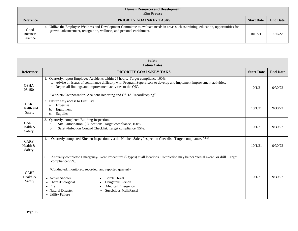| <b>Human Resources and Development</b><br><b>Kim Prowse</b> |                                                                                                                                                                                                              |                   |                 |
|-------------------------------------------------------------|--------------------------------------------------------------------------------------------------------------------------------------------------------------------------------------------------------------|-------------------|-----------------|
| <b>Reference</b>                                            | PRIORITY GOALS/KEY TASKS                                                                                                                                                                                     | <b>Start Date</b> | <b>End Date</b> |
| Good<br><b>Business</b><br>Practice                         | 4. Utilize the Employee Wellness and Development Committee to evaluate needs in areas such as training, education, opportunities for<br>growth, advancement, recognition, wellness, and personal enrichment. | 10/1/21           | 9/30/22         |

| <b>Safety</b><br><b>Latina Cates</b> |                                                                                                                                                                                                                                                                                                                                                                                                                            |                   |                 |  |
|--------------------------------------|----------------------------------------------------------------------------------------------------------------------------------------------------------------------------------------------------------------------------------------------------------------------------------------------------------------------------------------------------------------------------------------------------------------------------|-------------------|-----------------|--|
| <b>Reference</b>                     | <b>PRIORITY GOALS/KEY TAKS</b>                                                                                                                                                                                                                                                                                                                                                                                             | <b>Start Date</b> | <b>End Date</b> |  |
| <b>OSHA</b><br>08.450                | 1. Quarterly, report Employee Accidents within 24 hours. Target compliance 100%.<br>a. Advise on issues of compliance difficulty with Program Supervisors to develop and implement improvement activities.<br>b. Report all findings and improvement activities to the QIC.<br>"Workers Compensation. Accident Reporting and OSHA Recordkeeping"                                                                           | 10/1/21           | 9/30/22         |  |
| <b>CARF</b><br>Health and<br>Safety  | 2. Ensure easy access to First Aid:<br>Expertise<br>a.<br>Equipment<br>b.<br>Supplies<br>$\mathbf{c}.$                                                                                                                                                                                                                                                                                                                     | 10/1/21           | 9/30/22         |  |
| <b>CARF</b><br>Health &<br>Safety    | Quarterly, completed Building Inspection.<br>3.<br>Site Participation, (5) locations. Target compliance, 100%.<br>a.<br>Safety/Infection Control Checklist. Target compliance, 95%.<br>b.                                                                                                                                                                                                                                  | 10/1/21           | 9/30/22         |  |
| CARF<br>Health $&$<br>Safety         | Quarterly completed Kitchen Inspection; via the Kitchen Safety Inspection Checklist. Target compliance, 95%.<br>4.                                                                                                                                                                                                                                                                                                         | 10/1/21           | 9/30/22         |  |
| CARF<br>Health &<br>Safety           | Annually completed Emergency/Event Procedures (9 types) at all locations. Completion may be per "actual event" or drill. Target<br>5.<br>compliance 95%.<br>*Conducted, monitored, recorded, and reported quarterly<br>• Active Shooter<br><b>Bomb Threat</b><br>• Chem./Biological<br>Dangerous Person<br>$\bullet$ Fire<br><b>Medical Emergency</b><br>• Natural Disaster<br>Suspicious Mail/Parcel<br>• Utility Failure | 10/1/21           | 9/30/22         |  |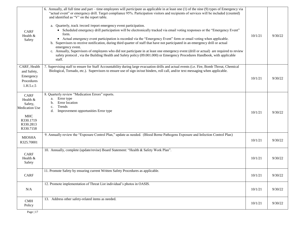| <b>CARF</b><br>Health &<br>Safety                                                                         | 6. Annually, all full time and part – time employees will <i>participate</i> as applicable in at least one (1) of the nine (9) types of Emergency via<br>"actual event" or emergency drill. Target compliance 95%. Participation visitors and recipients of services will be included (counted)<br>and identified as "V" on the report table.<br>a. Quarterly, track /record /report emergency event participation.<br>• Scheduled emergency drill participation will be electronically tracked via email voting responses or the "Emergency Event"<br>form.<br>• Actual emergency event participation is recorded via the "Emergency Event" form or email voting when applicable.<br>b. Supervisors to receive notification, during third quarter of staff that have not participated in an emergency drill or actual<br>emergency event.<br>c. Annually, Supervisors of employees who did not participate in at least one emergency event (drill or actual) are required to review<br>safety protocol, via the Building Health and Safety policy (09.001.000) or Emergency Procedures Handbook, with applicable<br>staff. | 10/1/21 | 9/30/22 |
|-----------------------------------------------------------------------------------------------------------|-----------------------------------------------------------------------------------------------------------------------------------------------------------------------------------------------------------------------------------------------------------------------------------------------------------------------------------------------------------------------------------------------------------------------------------------------------------------------------------------------------------------------------------------------------------------------------------------------------------------------------------------------------------------------------------------------------------------------------------------------------------------------------------------------------------------------------------------------------------------------------------------------------------------------------------------------------------------------------------------------------------------------------------------------------------------------------------------------------------------------------|---------|---------|
| CARF, Health<br>and Safety,<br>Emergency<br>Procedures<br>1.H.5.c.5                                       | 7. Supervising staff to ensure for Staff Accountability during large evacuation drills and actual events (i.e. Fire, Bomb Threat, Chemical<br>Biological, Tornado, etc.). Supervisors to ensure use of sign in/out binders, roll call, and/or text messaging when applicable.                                                                                                                                                                                                                                                                                                                                                                                                                                                                                                                                                                                                                                                                                                                                                                                                                                               | 10/1/21 | 9/30/22 |
| CARF<br>Health &<br>Safety,<br><b>Medication Use</b><br><b>MHC</b><br>R330.1719<br>R330.2813<br>R330.7158 | 8. Quarterly review "Medication Errors" reports.<br>a. Error type<br>Error location<br>b.<br>Trends<br>c.<br>Improvement opportunities Error type<br>d.                                                                                                                                                                                                                                                                                                                                                                                                                                                                                                                                                                                                                                                                                                                                                                                                                                                                                                                                                                     | 10/1/21 | 9/30/22 |
| <b>MIOSHA</b><br>R325.70001                                                                               | 9. Annually review the "Exposure Control Plan," update as needed. (Blood Borne Pathogens Exposure and Infection Control Plan)                                                                                                                                                                                                                                                                                                                                                                                                                                                                                                                                                                                                                                                                                                                                                                                                                                                                                                                                                                                               | 10/1/21 | 9/30/22 |
| <b>CARF</b><br>Health &<br>Safety                                                                         | 10. Annually, complete (update/revise) Board Statement: "Health & Safety Work Plan".                                                                                                                                                                                                                                                                                                                                                                                                                                                                                                                                                                                                                                                                                                                                                                                                                                                                                                                                                                                                                                        | 10/1/21 | 9/30/22 |
| CARF                                                                                                      | 11. Promote Safety by ensuring current Written Safety Procedures as applicable.                                                                                                                                                                                                                                                                                                                                                                                                                                                                                                                                                                                                                                                                                                                                                                                                                                                                                                                                                                                                                                             | 10/1/21 | 9/30/22 |
| N/A                                                                                                       | 12. Promote implementation of Threat List individual's photos in OASIS.                                                                                                                                                                                                                                                                                                                                                                                                                                                                                                                                                                                                                                                                                                                                                                                                                                                                                                                                                                                                                                                     | 10/1/21 | 9/30/22 |
| <b>CMH</b><br>Policy                                                                                      | 13. Address other safety-related items as needed.                                                                                                                                                                                                                                                                                                                                                                                                                                                                                                                                                                                                                                                                                                                                                                                                                                                                                                                                                                                                                                                                           | 10/1/21 | 9/30/22 |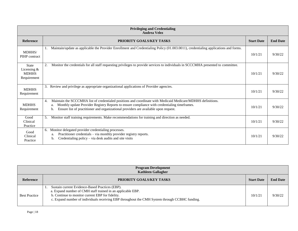| <b>Privileging and Credentialing</b><br><b>Andrea Velez</b> |                                                                                                                                                                                                                                                                                                                        |                   |                 |
|-------------------------------------------------------------|------------------------------------------------------------------------------------------------------------------------------------------------------------------------------------------------------------------------------------------------------------------------------------------------------------------------|-------------------|-----------------|
| <b>Reference</b>                                            | PRIORITY GOALS/KEY TASKS                                                                                                                                                                                                                                                                                               | <b>Start Date</b> | <b>End Date</b> |
| MDHHS/<br>PIHP contract                                     | Maintain/update as applicable the Provider Enrollment and Credentialing Policy (01.003.0011), credentialing applications and forms.                                                                                                                                                                                    | 10/1/21           | 9/30/22         |
| <b>State</b><br>Licensing &<br><b>MDHHS</b><br>Requirement  | 2.<br>Monitor the credentials for all staff requesting privileges to provide services to individuals in SCCCMHA presented to committee.                                                                                                                                                                                | 10/1/21           | 9/30/22         |
| <b>MDHHS</b><br>Requirement                                 | Review and privilege as appropriate organizational applications of Provider agencies.<br>3.                                                                                                                                                                                                                            | 10/1/21           | 9/30/22         |
| <b>MDHHS</b><br>Requirement                                 | Maintain the SCCCMHA list of credentialed positions and coordinate with Medicaid Medicare/MDHHS definitions.<br>4.<br>Monthly update Provider Registry Reports to ensure compliance with credentialing timeframes.<br>a.<br>Ensure list of practitioner and organizational providers are available upon request.<br>b. | 10/1/21           | 9/30/22         |
| Good<br>Clinical<br>Practice                                | Monitor staff training requirements. Make recommendations for training and direction as needed.<br>5.                                                                                                                                                                                                                  | 10/1/21           | 9/30/22         |
| Good<br>Clinical<br>Practice                                | Monitor delegated provider credentialing processes.<br>Practitioner credentials – via monthly provider registry reports.<br>a.<br>Credentialing policy $-$ via desk audits and site visits<br>b.                                                                                                                       | 10/1/21           | 9/30/22         |

| <b>Program Development</b><br><b>Kathleen Gallagher</b> |                                                                                                                                                                                                                                                                      |                   |                 |  |
|---------------------------------------------------------|----------------------------------------------------------------------------------------------------------------------------------------------------------------------------------------------------------------------------------------------------------------------|-------------------|-----------------|--|
| <b>Reference</b>                                        | PRIORITY GOALS/KEY TASKS                                                                                                                                                                                                                                             | <b>Start Date</b> | <b>End Date</b> |  |
| <b>Best Practice</b>                                    | Sustain current Evidence-Based Practices (EBP).<br>a. Expand number of CMH staff trained in an applicable EBP.<br>b. Continue to monitor current EBP for fidelity.<br>c. Expand number of individuals receiving EBP throughout the CMH System through CCBHC funding. | 10/1/21           | 9/30/22         |  |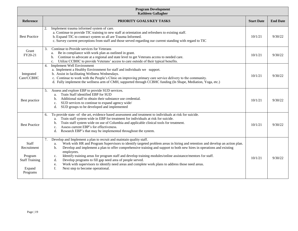| <b>Program Development</b><br><b>Kathleen Gallagher</b>                        |                                                                                                                                                                                                                                                                                                                                                                                                                                                                                                                                                                                                                                                                                                         |                   |                 |  |
|--------------------------------------------------------------------------------|---------------------------------------------------------------------------------------------------------------------------------------------------------------------------------------------------------------------------------------------------------------------------------------------------------------------------------------------------------------------------------------------------------------------------------------------------------------------------------------------------------------------------------------------------------------------------------------------------------------------------------------------------------------------------------------------------------|-------------------|-----------------|--|
| <b>Reference</b>                                                               | PRIORITY GOALS/KEY TASKS                                                                                                                                                                                                                                                                                                                                                                                                                                                                                                                                                                                                                                                                                | <b>Start Date</b> | <b>End Date</b> |  |
| <b>Best Practice</b>                                                           | Implement trauma informed system of care.<br>2.<br>a. Continue to provide TIC training to new staff at orientation and refreshers to existing staff.<br>b. Expand TIC to contract system so all are Trauma Informed.<br>c. Survey current perceptions from staff and those served regarding our current standing with regard to TIC                                                                                                                                                                                                                                                                                                                                                                     | 10/1/21           | 9/30/22         |  |
| Grant<br>FY20-21                                                               | Continue to Provide services for Veterans<br>3.<br>Be in compliance with work plan as outlined in grant.<br>а.<br>Continue to advocate at a regional and state level to get Veterans access to needed care.<br>b.<br>Utilize CCBHC to provide Veterans' access to care outside of their typical benefits.<br>c.                                                                                                                                                                                                                                                                                                                                                                                         | 10/1/21           | 9/30/22         |  |
| Integrated<br>Care/CCBHC                                                       | <b>Implement Well Environment</b><br>4.<br>a. Implement a Healthy Environment for staff and individuals we support.<br>b. Assist in facilitating Wellness Wednesdays.<br>c. Continue to work with the People's Clinic on improving primary care service delivery to the community.<br>d. Fully implement the wellness arm of CMH, supported through CCBHC funding (In Shape, Mediation, Yoga, etc.)                                                                                                                                                                                                                                                                                                     | 10/1/21           | 9/30/22         |  |
| Best practice                                                                  | Assess and explore EBP to provide SUD services.<br>5.<br>Train Staff identified EBP for SUD<br>a.<br>Additional staff to obtain their substance use credential.<br>b.<br>SUD services to continue to expand agency wide/<br>c.<br>SUD groups to be developed and implemented<br>d.                                                                                                                                                                                                                                                                                                                                                                                                                      | 10/1/21           | 9/30/22         |  |
| <b>Best Practice</b>                                                           | To provide state -of -the art, evidence based assessment and treatment to individuals at risk for suicide.<br>6.<br>Train staff system wide in EBP for treatment for individuals at risk for suicide.<br>a.<br>Train staff system wide on use of Columbia and applicable clinical tools for treatment.<br>b.<br>Assess current EBP's for effectiveness.<br>c.<br>Research EBP's that may be implemented throughout the system.<br>d.                                                                                                                                                                                                                                                                    | 10/1/21           | 9/30/22         |  |
| Staff<br>Recruitment<br>Program<br><b>Staff Training</b><br>Expand<br>Programs | Develop and Implement a plan to recruit and maintain quality staff.<br>7.<br>Work with HR and Program Supervisors to identify targeted problem areas in hiring and retention and develop an action plan.<br>a.<br>Develop and implement a plan to offer comprehensive training and support to both new hires in operations and existing<br>b.<br>employees.<br>Identify training areas for program staff and develop training modules/online assistance/mentors for staff.<br>c.<br>Develop programs to fill gap need area of people served.<br>d.<br>Work with supervisors to identify need areas and complete work plans to address those need areas.<br>e.<br>f.<br>Next step to become operational. | 10/1/21           | 9/30/22         |  |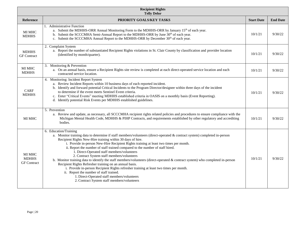| <b>Recipient Rights</b><br><b>Telly Delor</b> |                                                                                                                                                                                                                                                                                                                                                                                                                                                                                                                                                                                                                                                                                                                                                                                                                                                                                                                            |                   |                 |
|-----------------------------------------------|----------------------------------------------------------------------------------------------------------------------------------------------------------------------------------------------------------------------------------------------------------------------------------------------------------------------------------------------------------------------------------------------------------------------------------------------------------------------------------------------------------------------------------------------------------------------------------------------------------------------------------------------------------------------------------------------------------------------------------------------------------------------------------------------------------------------------------------------------------------------------------------------------------------------------|-------------------|-----------------|
| Reference                                     | PRIORITY GOALS/KEY TASKS                                                                                                                                                                                                                                                                                                                                                                                                                                                                                                                                                                                                                                                                                                                                                                                                                                                                                                   | <b>Start Date</b> | <b>End Date</b> |
| <b>MI MHC</b><br><b>MDHHS</b>                 | 1. Administrative Function<br>a. Submit the MDHHS-ORR Annual Monitoring Form to the MDHHS-ORR by January 15 <sup>th</sup> of each year.<br>b. Submit the SCCCMHA Semi-Annual Report to the MDHHS-ORR by June 30 <sup>th</sup> of each year.<br>c. Submit the SCCCMHA Annual Report to the MDHHS-ORR by December 30 <sup>th</sup> of each year.                                                                                                                                                                                                                                                                                                                                                                                                                                                                                                                                                                             | 10/1/21           | 9/30/22         |
| <b>MDHHS</b><br><b>GF</b> Contract            | 2. Complaint System<br>a. Report the number of substantiated Recipient Rights violations in St. Clair County by classification and provider location<br>(identified by month/quarter).                                                                                                                                                                                                                                                                                                                                                                                                                                                                                                                                                                                                                                                                                                                                     | 10/1/21           | 9/30/22         |
| <b>MI MHC</b><br><b>MDHHS</b>                 | 3. Monitoring & Prevention<br>a. On an annual basis, ensure a Recipient Rights site review is completed at each direct-operated service location and each<br>contracted service location.                                                                                                                                                                                                                                                                                                                                                                                                                                                                                                                                                                                                                                                                                                                                  | 10/1/21           | 9/30/22         |
| <b>CARF</b><br><b>MDHHS</b>                   | 4. Monitoring: Incident Report System<br>a. Review Incident Reports within 10 business days of each reported incident.<br>b. Identify and forward potential Critical Incidents to the Program Director/designee within three days of the incident<br>to determine if the event meets Sentinel Event criteria.<br>c. Enter "Critical Events" meeting MDHHS established criteria in OASIS on a monthly basis (Event Reporting).<br>d. Identify potential Risk Events per MDHHS established guidelines.                                                                                                                                                                                                                                                                                                                                                                                                                       | 10/1/21           | 9/30/22         |
| MI MHC                                        | 5. Prevention<br>a. Review and update, as necessary, all SCCCMHA recipient rights related policies and procedures to ensure compliance with the<br>Michigan Mental Health Code, MDHHS & PIHP Contracts, and requirements established by other regulatory and accrediting<br>bodies.                                                                                                                                                                                                                                                                                                                                                                                                                                                                                                                                                                                                                                        | 10/1/21           | 9/30/22         |
| MI MHC<br><b>MDHHS</b><br><b>GF</b> Contract  | 6. Education/Training<br>a. Monitor training data to determine if staff members/volunteers (direct-operated & contract system) completed in-person<br>Recipient Rights New-Hire training within 30 days of hire.<br>i. Provide in-person New-Hire Recipient Rights training at least two times per month.<br>ii. Report the number of staff trained compared to the number of staff hired.<br>1. Direct-Operated staff members/volunteers<br>2. Contract System staff members/volunteers<br>b. Monitor training data to identify the staff members/volunteers (direct-operated $\&$ contract system) who completed in-person<br>Recipient Rights Refresher training on an annual basis.<br>i. Provide in-person Recipient Rights refresher training at least two times per month.<br>ii. Report the number of staff trained.<br>1. Direct-Operated staff members/volunteers<br>2. Contract System staff members/volunteers | 10/1/21           | 9/30/22         |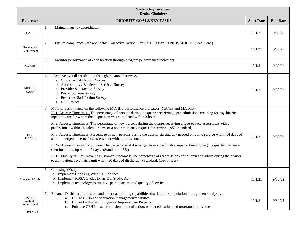| <b>System Improvement</b><br><b>Denise Choiniere</b> |                                                                                                                                                                                                                                                                                                                                                                                                                                                                                                                                                                                                                                                                                                                                                                                                                                                                                                                                                                                                                                                                                                                                            |                   |                 |  |
|------------------------------------------------------|--------------------------------------------------------------------------------------------------------------------------------------------------------------------------------------------------------------------------------------------------------------------------------------------------------------------------------------------------------------------------------------------------------------------------------------------------------------------------------------------------------------------------------------------------------------------------------------------------------------------------------------------------------------------------------------------------------------------------------------------------------------------------------------------------------------------------------------------------------------------------------------------------------------------------------------------------------------------------------------------------------------------------------------------------------------------------------------------------------------------------------------------|-------------------|-----------------|--|
| <b>Reference</b>                                     | PRIORITY GOALS/KEY TASKS                                                                                                                                                                                                                                                                                                                                                                                                                                                                                                                                                                                                                                                                                                                                                                                                                                                                                                                                                                                                                                                                                                                   | <b>Start Date</b> | <b>End Date</b> |  |
| <b>CARF</b>                                          | Maintain agency accreditation.<br>1.                                                                                                                                                                                                                                                                                                                                                                                                                                                                                                                                                                                                                                                                                                                                                                                                                                                                                                                                                                                                                                                                                                       | 10/1/21           | 9/30/22         |  |
| Regulatory<br>Requirement                            | 2.<br>Ensure compliance with applicable Corrective Action Plans (e.g. Region 10 PIHP, MDHHS, HSAG etc.)                                                                                                                                                                                                                                                                                                                                                                                                                                                                                                                                                                                                                                                                                                                                                                                                                                                                                                                                                                                                                                    | 10/1/21           | 9/30/22         |  |
| <b>MDHHS</b>                                         | 3.<br>Monitor performance of each location through program performance indicators.                                                                                                                                                                                                                                                                                                                                                                                                                                                                                                                                                                                                                                                                                                                                                                                                                                                                                                                                                                                                                                                         | 10/1/21           | 9/30/22         |  |
| MDHHS,<br><b>CARF</b>                                | Achieve overall satisfaction through the annual surveys.<br>4.<br>a. Customer Satisfaction Survey<br>b. Accessibility / Barriers to Services Survey<br>c. Provider Satisfaction Survey<br>d. Post-Discharge Survey<br>e. Prescriber Satisfaction Survey<br>f. NCI Project                                                                                                                                                                                                                                                                                                                                                                                                                                                                                                                                                                                                                                                                                                                                                                                                                                                                  | 10/1/21           | 9/30/22         |  |
| <b>HHS</b><br>P.6.5.1.1                              | Monitor performance on the following MDHHS performance indicators (MA/GF and MA only).<br>5.<br>PI 1. Access: Timeliness: The percentage of persons during the quarter receiving a pre-admission screening for psychiatric<br>inpatient care for whom the disposition was completed within 3 hours.<br>PI 2. Access: Timeliness: The percentage of new persons during the quarter receiving a face-to-face assessment with a<br>professional within 14 calendar days of a non-emergency request for service. (95% standard)<br>PI 3. Access: Timeliness: Percentage of new persons during the quarter starting any needed on-going service within 14 days of<br>a non-emergent face-to-face assessment with a professional.<br>PI 4a. Access: Continuity of Care: The percentage of discharges from a psychiatric inpatient unit during the quarter that were<br>seen for follow-up within 7 days. (Standard: 95%)<br>PI 10. Quality of Life: Adverse Customer Outcomes: The percentage of readmissions of children and adults during the quarter<br>to an inpatient psychiatric unit within 30 days of discharge. (Standard: 15% or less) | 10/1/21           | 9/30/22         |  |
| Choosing Wisely                                      | Choosing Wisely<br>6.<br>a. Implement Choosing Wisely Guidelines<br>b. Implement PDSA Cycles (Plan, Do, Study, Act)<br>c. Implement technology to improve patient access and quality of service.                                                                                                                                                                                                                                                                                                                                                                                                                                                                                                                                                                                                                                                                                                                                                                                                                                                                                                                                           | 10/1/21           | 9/30/22         |  |
| Region 10<br>Contract<br>Requirement                 | Enhance Dashboard Indicators and other data mining capabilities that facilities population management/analysis.<br>7.<br>Utilize CC360 or population management/analytics.<br>a.<br>Utilize Dashboard for Quality Improvement Projects.<br>b.<br>Enhance CEHR usage for e-signature collection, patient education and program improvement.<br>c.                                                                                                                                                                                                                                                                                                                                                                                                                                                                                                                                                                                                                                                                                                                                                                                           | 10/1/21           | 9/30/22         |  |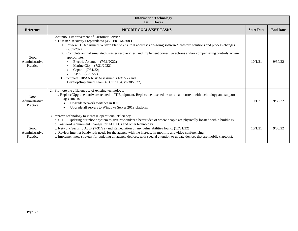| <b>Information Technology</b><br><b>Dann Hayes</b> |                                                                                                                                                                                                                                                                                                                                                                                                                                                                                                                                                                                                                   |                   |                 |
|----------------------------------------------------|-------------------------------------------------------------------------------------------------------------------------------------------------------------------------------------------------------------------------------------------------------------------------------------------------------------------------------------------------------------------------------------------------------------------------------------------------------------------------------------------------------------------------------------------------------------------------------------------------------------------|-------------------|-----------------|
| Reference                                          | PRIORIT GOALS/KEY TASKS                                                                                                                                                                                                                                                                                                                                                                                                                                                                                                                                                                                           | <b>Start Date</b> | <b>End Date</b> |
| Good<br>Administrative<br>Practice                 | 1. Continuous improvement of Customer Service.<br>a. Disaster Recovery Preparedness (45 CFR 164.308.)<br>1. Review IT Department Written Plan to ensure it addresses on-going software/hardware solutions and process changes<br>$(7/31/2022)$ .<br>2. Complete annual simulated disaster recovery test and implement corrective actions and/or compensating controls, where<br>appropriate.<br>Electric Avenue $- (7/31/2022)$<br>Marine City – $(7/31/2022)$<br>Capac – $(7/31/22)$<br>$ABA - (7/31/22)$<br>3. Complete HIPAA Risk Assessment (1/31/22) and<br>Develop/Implement Plan (45 CFR 164) (9/30/2022). | 10/1/21           | 9/30/22         |
| Good<br>Administrative<br>Practice                 | 2. Promote the efficient use of existing technology.<br>a. Replace/Upgrade hardware related to IT Equipment. Replacement schedule to remain current with technology and support<br>agreements.<br>Upgrade network switches in IDF<br>Upgrade all servers to Windows Server 2019 platform                                                                                                                                                                                                                                                                                                                          | 10/1/21           | 9/30/22         |
| Good<br>Administrative<br>Practice                 | 3. Improve technology to increase operational efficiency.<br>a. e911 – Updating our phone system to give responders a better idea of where people are physically located within buildings.<br>b. Password requirement changes for ALL PCs and other technology.<br>c. Network Security Audit (7/31/22) and Remediation of any vulnerabilities found. (12/31/22)<br>d. Review Internet bandwidth needs for the agency with the increase in mobility and video conferencing<br>e. Implement new strategy for updating all agency devices, with special attention to update devices that are mobile (laptops).       | 10/1/21           | 9/30/22         |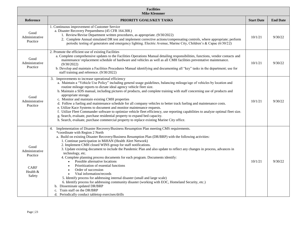| <b>Facilities</b><br><b>Mike Klemmer</b>                                |                                                                                                                                                                                                                                                                                                                                                                                                                                                                                                                                                                                                                                                                                                                                                                                                                                                                                                                                                                                                                                                                 |                   |                 |
|-------------------------------------------------------------------------|-----------------------------------------------------------------------------------------------------------------------------------------------------------------------------------------------------------------------------------------------------------------------------------------------------------------------------------------------------------------------------------------------------------------------------------------------------------------------------------------------------------------------------------------------------------------------------------------------------------------------------------------------------------------------------------------------------------------------------------------------------------------------------------------------------------------------------------------------------------------------------------------------------------------------------------------------------------------------------------------------------------------------------------------------------------------|-------------------|-----------------|
| Reference                                                               | PRIORITY GOALS/KEY TASKS                                                                                                                                                                                                                                                                                                                                                                                                                                                                                                                                                                                                                                                                                                                                                                                                                                                                                                                                                                                                                                        | <b>Start Date</b> | <b>End Date</b> |
| Good<br>Administrative<br>Practice                                      | 1. Continuous improvement of Customer Service<br>a. Disaster Recovery Preparedness (45 CFR 164.308.)<br>1. Review/Revise Department written procedures, as appropriate. (9/30/2022)<br>2. Complete Annual simulated DR test and implement corrective actions/compensating controls, where appropriate; perform<br>periodic testing of generators and emergency lighting. Electric Avenue, Marine City, Children's & Capac (6/30/22)                                                                                                                                                                                                                                                                                                                                                                                                                                                                                                                                                                                                                             | 10/1/21           | 9/30/22         |
| Good<br>Administrative<br>Practice                                      | 2. Promote the efficient use of existing Facilities<br>a. Complete comprehensive updates to the Facilities Operations Manual detailing responsibilities, functions, vendor contacts and<br>maintenance/replacement schedule of hardware and vehicles as well as all CMH facilities preventative maintenance.<br>(9/30/2022)<br>b. Develop and maintain a Facilities Procedures Manual identifying and documenting all "key" tasks in the department; use for<br>staff training and reference. (9/30/2022)                                                                                                                                                                                                                                                                                                                                                                                                                                                                                                                                                       | 10/1/21           | 9/30/22         |
| Good<br>Administrative<br>Practice                                      | 3. Improvements to increase operational efficiency<br>a. Maintain a "Vehicle Use Policy" including general usage guidelines, balancing mileage/age of vehicles by location and<br>routine mileage reports to dictate ideal agency vehicle fleet size.<br>b. Maintain a SDS manual, including pictures of products, and complete training with staff concerning use of products and<br>appropriate storage.<br>c. Monitor and maintain existing CMH properties<br>d. Follow a fueling and maintenance schedule for all company vehicles to better track fueling and maintenance costs.<br>e. Utilize Kace Systems to document and monitor maintenance requests.<br>f. Utilize Fleet Commander software to optimize vehicle fleet efficiency, use reporting capabilities to analyze optimal fleet size.<br>g. Search, evaluate, purchase residential property to expand bed capacity.<br>h. Search, evaluate, purchase commercial property to replace existing Marine City office.                                                                                | 10/1/21           | 9/30/22         |
| Good<br>Administrative<br>Practice<br><b>CARF</b><br>Health &<br>Safety | Implementation of Disaster Recovery/Business Resumption Plan meeting CMS requirements.<br>4.<br>*coordinate with Region 2 North<br>a. Build on existing Disaster Recovery/Business Resumption Plan (DR/BRP) with the following activities:<br>1. Continue participation in MiHAN (Health Alert Network)<br>2. Implement CMH closed WINS group for staff notifications.<br>3. Update existing document to include the Pandemic Plan and also update to reflect any changes in process, advances in<br>technology, etc.<br>4. Complete planning process documents for each program. Documents identify:<br>Possible alternative locations<br>$\bullet$<br>Prioritization of essential functions<br>Order of succession<br>Vital information/records<br>5. Identify process for addressing internal disaster (small and large scale)<br>6. Identify process for addressing community disaster (working with EOC, Homeland Security, etc.)<br>b. Disseminate updated DR/BRP<br>Train staff on the DR/BRP<br>c.<br>d. Periodically conduct tabletop exercises/drills | 10/1/21           | 9/30/22         |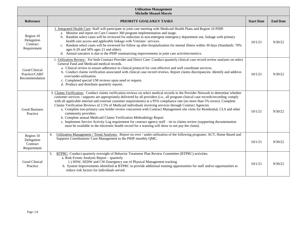| <b>Utilization Management</b><br><b>Michelle Measel-Morris</b> |                                                                                                                                                                                                                                                                                                                                                                                                                                                                                                                                                                                                                                                                                                                                                                                                                                                                                                                                                                                  |                   |                 |
|----------------------------------------------------------------|----------------------------------------------------------------------------------------------------------------------------------------------------------------------------------------------------------------------------------------------------------------------------------------------------------------------------------------------------------------------------------------------------------------------------------------------------------------------------------------------------------------------------------------------------------------------------------------------------------------------------------------------------------------------------------------------------------------------------------------------------------------------------------------------------------------------------------------------------------------------------------------------------------------------------------------------------------------------------------|-------------------|-----------------|
| Reference                                                      | PRIORITY GOALS/KEY TASKS                                                                                                                                                                                                                                                                                                                                                                                                                                                                                                                                                                                                                                                                                                                                                                                                                                                                                                                                                         | <b>Start Date</b> | <b>End Date</b> |
| Region 10<br>Delegation<br>Contract<br>Requirement             | 1. Integrated Health Care: Staff will participate in joint care meeting with Medicaid Health Plans and Region 10 PIHP.<br>a. Monitor and report on Care Connect 360 program implementation and usage.<br>b. Random select cases will be reviewed for reduction in non-emergent emergency department use, linkage with primary<br>health care access and applicable linkage with Veterans' services.<br>c. Random select cases will be reviewed for follow up after hospitalization for mental illness within 30 days (Standards: 70%<br>ages 6-20 and 58% ages 21 and older).<br>d. Annual narrative is due to the PIHP summarizing improvements in joint care activities/metrics.                                                                                                                                                                                                                                                                                               | 10/1/21           | 9/30/22         |
| Good Clinical<br>Practice/CARF<br>Recommendation               | 1. Utilization Review: For both Contract Provider and Direct Care: Conduct quarterly clinical case record review analyses on select<br>General Fund and Medicaid medical records.<br>a. Clinical review to ensure adherence to clinical protocol for cost-effective and well coordinate services.<br>b. Conduct claims verification associated with clinical case record reviews. Report claims discrepancies. Identify and address<br>over/under-utilization.<br>c. Completed special UM reviews upon need or request.<br>d. Produce and distribute quarterly reports.                                                                                                                                                                                                                                                                                                                                                                                                          | 10/1/21           | 9/30/22         |
| Good Business<br>Practice                                      | 3. Claims Verification: Conduct claims verification reviews on select medical records in the Provider Network to determine whether<br>customer services / supports are appropriately delivered by all providers (i.e., all program clinical case records/recording comply<br>with all applicable internal and external customer requirements) at a 95% compliance rate (no more than 5% errors). Complete<br>Claims Verification Reviews of 2.5% of Medicaid individuals receiving services through Contract Agencies<br>a. Complete non-primary case holder review concurrent with Contract Management site visits for Residential, CLS and other<br>community providers.<br>b. Complete annual Medicaid Claims Verification Methodology Report<br>c. Implement Service Activity Log requirement for contract agency staff – tie to claims review (supporting documentation<br>must be available in the electronic health record for a warning will show to not pay the claim). | 10/1/21           | 9/30/22         |
| Region 10<br>Delegation<br>Contract<br>Requirement             | Utilization Management / Trend Analyses: Report on over / under-utilization of the following programs: ACT, Home Based and<br>4.<br>Supports Coordination/ Case Management to the PIHP monthly QMC.                                                                                                                                                                                                                                                                                                                                                                                                                                                                                                                                                                                                                                                                                                                                                                              | 10/1/21           | 9/30/22         |
| Good Clinical<br>Practice                                      | 5. BTPRC: Conduct quarterly oversight of Behavior Treatment Plan Review Committee (BTPRC) activities.<br>a. Risk Events Analysis Report - quarterly<br>1.) HSW, SEDW and CW Emergency use of Physical Management tracking<br>b. System Improvements identified at BTPRC to provide additional training opportunities for staff and/or opportunities to<br>reduce risk factors for individuals served.                                                                                                                                                                                                                                                                                                                                                                                                                                                                                                                                                                            | 10/1/21           | 9/30/22         |